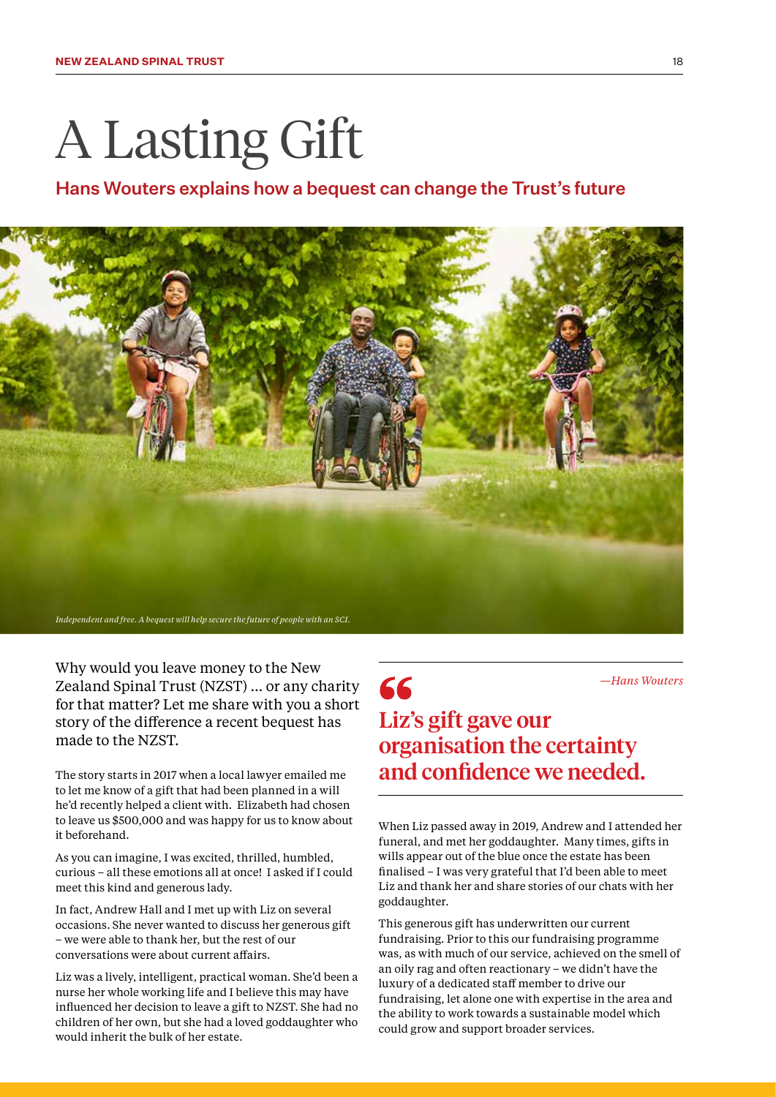# A Lasting Gift

### Hans Wouters explains how a bequest can change the Trust's future



66

Why would you leave money to the New Zealand Spinal Trust (NZST) … or any charity for that matter? Let me share with you a short story of the difference a recent bequest has made to the NZST.

The story starts in 2017 when a local lawyer emailed me to let me know of a gift that had been planned in a will he'd recently helped a client with. Elizabeth had chosen to leave us \$500,000 and was happy for us to know about it beforehand.

As you can imagine, I was excited, thrilled, humbled, curious – all these emotions all at once! I asked if I could meet this kind and generous lady.

In fact, Andrew Hall and I met up with Liz on several occasions. She never wanted to discuss her generous gift – we were able to thank her, but the rest of our conversations were about current affairs.

Liz was a lively, intelligent, practical woman. She'd been a nurse her whole working life and I believe this may have influenced her decision to leave a gift to NZST. She had no children of her own, but she had a loved goddaughter who would inherit the bulk of her estate.

*—Hans Wouters*

# Liz's gift gave our organisation the certainty and confidence we needed.

When Liz passed away in 2019, Andrew and I attended her funeral, and met her goddaughter. Many times, gifts in wills appear out of the blue once the estate has been finalised – I was very grateful that I'd been able to meet Liz and thank her and share stories of our chats with her goddaughter.

This generous gift has underwritten our current fundraising. Prior to this our fundraising programme was, as with much of our service, achieved on the smell of an oily rag and often reactionary – we didn't have the luxury of a dedicated staff member to drive our fundraising, let alone one with expertise in the area and the ability to work towards a sustainable model which could grow and support broader services.